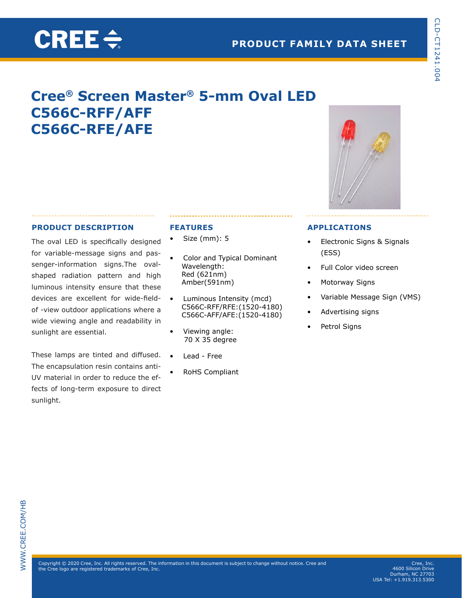# **Cree® Screen Master® 5-mm Oval LED C566C-RFF/AFF C566C-RFE/AFE**

## **PRODUCT DESCRIPTION**

The oval LED is specifically designed for variable-message signs and passenger-information signs.The ovalshaped radiation pattern and high luminous intensity ensure that these devices are excellent for wide-fieldof -view outdoor applications where a wide viewing angle and readability in sunlight are essential.

These lamps are tinted and diffused. The encapsulation resin contains anti-UV material in order to reduce the effects of long-term exposure to direct sunlight.

## **FEATURES**

- Size (mm): 5
- Color and Typical Dominant Wavelength: Red (621nm) Amber(591nm)
- Luminous Intensity (mcd) C566C-RFF/RFE:(1520-4180) C566C-AFF/AFE:(1520-4180)
- Viewing angle: 70 X 35 degree
- Lead Free
- RoHS Compliant



CLD-CT1241.004

CLD-CT1241.004

### **APPLICATIONS**

- Electronic Signs & Signals (ESS)
- Full Color video screen
- Motorway Signs
- Variable Message Sign (VMS)
- Advertising signs
- Petrol Signs

 $\mathsf{Copyright} \textcircled{\small{2020}}$  Cree, Inc. All rights reserved. The information in this document is subject to change without notice. Cree and the Cree logo are registered trademarks of Cree, Inc.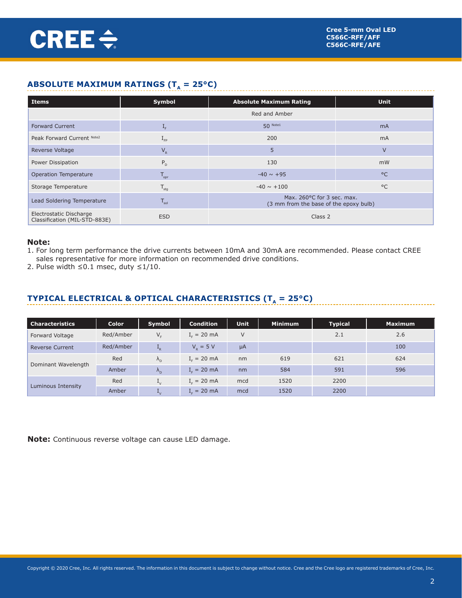## **ABSOLUTE MAXIMUM RATINGS (T<sub>a</sub> = 25°C)**

| <b>Items</b>                                             | Symbol               | <b>Absolute Maximum Rating</b>                                       | <b>Unit</b>  |  |
|----------------------------------------------------------|----------------------|----------------------------------------------------------------------|--------------|--|
|                                                          |                      | Red and Amber                                                        |              |  |
| <b>Forward Current</b>                                   | $\mathbf{I}_{\rm F}$ | $50$ Note1                                                           | <b>mA</b>    |  |
| Peak Forward Current Note2                               | $L_{FP}$             | 200                                                                  | <b>mA</b>    |  |
| Reverse Voltage                                          | $V_R$                | 5                                                                    | $\vee$       |  |
| Power Dissipation                                        | $P_{D}$              | 130                                                                  | mW           |  |
| <b>Operation Temperature</b>                             | $T_{\text{opr}}$     | $-40 \sim +95$                                                       | $^{\circ}$ C |  |
| Storage Temperature                                      | $T_{\text{stg}}$     | $-40 \sim +100$                                                      | $^{\circ}$ C |  |
| Lead Soldering Temperature                               | $T_{sol}$            | Max. 260°C for 3 sec. max.<br>(3 mm from the base of the epoxy bulb) |              |  |
| Electrostatic Discharge<br>Classification (MIL-STD-883E) | <b>ESD</b>           | Class 2                                                              |              |  |

### **Note:**

1. For long term performance the drive currents between 10mA and 30mA are recommended. Please contact CREE sales representative for more information on recommended drive conditions.

2. Pulse width ≤0.1 msec, duty ≤1/10.

## **TYPICAL ELECTRICAL & OPTICAL CHARACTERISTICS (T<sub>** $_A$ **</sub> = 25°C)**

| <b>Characteristics</b> | <b>Color</b> | Symbol                    | <b>Condition</b> | <b>Unit</b> | <b>Minimum</b> | <b>Typical</b> | <b>Maximum</b> |
|------------------------|--------------|---------------------------|------------------|-------------|----------------|----------------|----------------|
| Forward Voltage        | Red/Amber    | $V_{F}$                   | $I_c = 20$ mA    | $\vee$      |                | 2.1            | 2.6            |
| <b>Reverse Current</b> | Red/Amber    | $I_R$                     | $V_p = 5 V$      | $\mu$ A     |                |                | 100            |
| Dominant Wavelength    | Red          | $\Lambda_{\rm D}$         | $I_c = 20$ mA    | nm          | 619            | 621            | 624            |
|                        | Amber        | $\Lambda_{\rm D}$         | $I_c = 20$ mA    | nm          | 584            | 591            | 596            |
| Luminous Intensity     | Red          | $\mathbf{L}_{\mathsf{V}}$ | $I_c = 20$ mA    | mcd         | 1520           | 2200           |                |
|                        | Amber        | $\mathbf{I}_{\mathsf{V}}$ | $I_r = 20$ mA    | mcd         | 1520           | 2200           |                |

**Note:** Continuous reverse voltage can cause LED damage.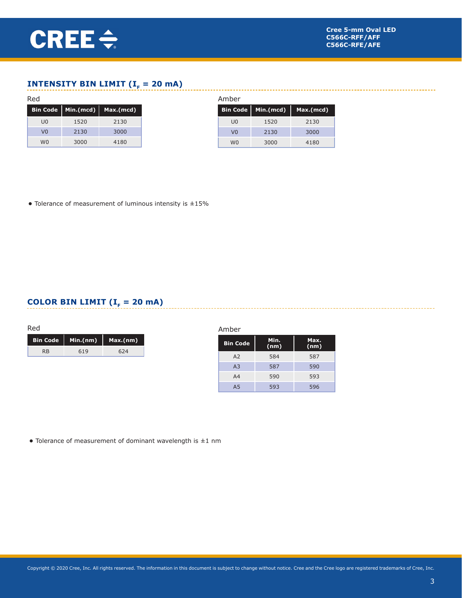## **INTENSITY BIN LIMIT (** $I<sub>F</sub> = 20$  **mA)**

|                |      | Bin Code   Min.(mcd)   Max.(mcd) |
|----------------|------|----------------------------------|
| UO             | 1520 | 2130                             |
| V <sub>0</sub> | 2130 | 3000                             |
| wn             | 3000 | 4180                             |

| Amber           |           |           |  |  |  |  |  |
|-----------------|-----------|-----------|--|--|--|--|--|
| <b>Bin Code</b> | Min.(mcd) | Max.(mcd) |  |  |  |  |  |
| U <sub>0</sub>  | 1520      | 2130      |  |  |  |  |  |
| V <sub>0</sub>  | 2130      | 3000      |  |  |  |  |  |
| wn              | 3000      | 4180      |  |  |  |  |  |

**•** Tolerance of measurement of luminous intensity is ±15%

## **COLOR BIN LIMIT (** $I<sub>F</sub> = 20$  **mA)**

|                       | Bin Code   Min.(nm)   Max.(nm) |     |
|-----------------------|--------------------------------|-----|
| <b>R</b> <sub>R</sub> | 619                            | 624 |

| Amber           |              |              |  |  |  |  |  |
|-----------------|--------------|--------------|--|--|--|--|--|
| <b>Bin Code</b> | Min.<br>(nm) | Max.<br>(nm) |  |  |  |  |  |
| A2              | 584          | 587          |  |  |  |  |  |
| A <sub>3</sub>  | 587          | 590          |  |  |  |  |  |
| A <sub>4</sub>  | 590          | 593          |  |  |  |  |  |
| A <sub>5</sub>  | 593          | 596          |  |  |  |  |  |

**•** Tolerance of measurement of dominant wavelength is ±1 nm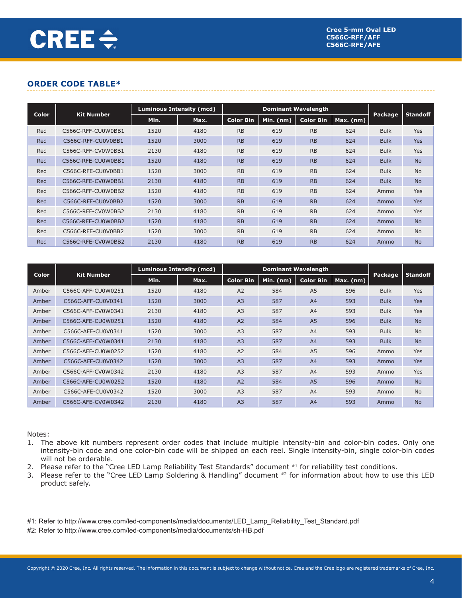## **ORDER CODE TABLE\***

| <b>Color</b><br><b>Kit Number</b> |                    | <b>Luminous Intensity (mcd)</b> |      | <b>Dominant Wavelength</b> |             |                  |             |             |                 |
|-----------------------------------|--------------------|---------------------------------|------|----------------------------|-------------|------------------|-------------|-------------|-----------------|
|                                   |                    | Min.                            | Max. | <b>Color Bin</b>           | Min. $(nm)$ | <b>Color Bin</b> | $Max.$ (nm) | Package,    | <b>Standoff</b> |
| Red                               | C566C-RFF-CU0W0BB1 | 1520                            | 4180 | <b>RB</b>                  | 619         | <b>RB</b>        | 624         | <b>Bulk</b> | <b>Yes</b>      |
| Red                               | C566C-RFF-CU0V0BB1 | 1520                            | 3000 | RB                         | 619         | RB               | 624         | <b>Bulk</b> | <b>Yes</b>      |
| Red                               | C566C-RFF-CV0W0BB1 | 2130                            | 4180 | <b>RB</b>                  | 619         | <b>RB</b>        | 624         | <b>Bulk</b> | <b>Yes</b>      |
| Red                               | C566C-RFE-CU0W0BB1 | 1520                            | 4180 | RB                         | 619         | RB               | 624         | <b>Bulk</b> | <b>No</b>       |
| Red                               | C566C-RFE-CU0V0BB1 | 1520                            | 3000 | <b>RB</b>                  | 619         | <b>RB</b>        | 624         | <b>Bulk</b> | <b>No</b>       |
| Red                               | C566C-RFE-CV0W0BB1 | 2130                            | 4180 | RB                         | 619         | RB               | 624         | <b>Bulk</b> | <b>No</b>       |
| Red                               | C566C-RFF-CU0W0BB2 | 1520                            | 4180 | <b>RB</b>                  | 619         | <b>RB</b>        | 624         | Ammo        | <b>Yes</b>      |
| Red                               | C566C-RFF-CU0V0BB2 | 1520                            | 3000 | RB                         | 619         | RB               | 624         | Ammo        | <b>Yes</b>      |
| Red                               | C566C-RFF-CV0W0BB2 | 2130                            | 4180 | <b>RB</b>                  | 619         | <b>RB</b>        | 624         | Ammo        | <b>Yes</b>      |
| Red                               | C566C-RFE-CU0W0BB2 | 1520                            | 4180 | RB                         | 619         | RB               | 624         | Ammo        | <b>No</b>       |
| Red                               | C566C-RFE-CU0V0BB2 | 1520                            | 3000 | <b>RB</b>                  | 619         | <b>RB</b>        | 624         | Ammo        | <b>No</b>       |
| Red                               | C566C-RFE-CV0W0BB2 | 2130                            | 4180 | <b>RB</b>                  | 619         | RB               | 624         | Ammo        | <b>No</b>       |

|              | <b>Kit Number</b>  |      | Luminous Intensity (mcd) | <b>Dominant Wavelength</b> |           |                  |           | Package,    | <b>Standoff</b> |
|--------------|--------------------|------|--------------------------|----------------------------|-----------|------------------|-----------|-------------|-----------------|
| Color        |                    | Min. | Max.                     | <b>Color Bin</b>           | Min. (nm) | <b>Color Bin</b> | Max. (nm) |             |                 |
| Amber        | C566C-AFF-CU0W0251 | 1520 | 4180                     | A2                         | 584       | A <sub>5</sub>   | 596       | <b>Bulk</b> | <b>Yes</b>      |
| <b>Amber</b> | C566C-AFF-CU0V0341 | 1520 | 3000                     | A <sub>3</sub>             | 587       | A4               | 593       | <b>Bulk</b> | <b>Yes</b>      |
| Amber        | C566C-AFF-CV0W0341 | 2130 | 4180                     | A <sub>3</sub>             | 587       | A4               | 593       | <b>Bulk</b> | <b>Yes</b>      |
| Amber        | C566C-AFE-CU0W0251 | 1520 | 4180                     | A <sub>2</sub>             | 584       | A <sub>5</sub>   | 596       | <b>Bulk</b> | <b>No</b>       |
| Amber        | C566C-AFE-CU0V0341 | 1520 | 3000                     | A <sub>3</sub>             | 587       | A <sup>4</sup>   | 593       | <b>Bulk</b> | <b>No</b>       |
| Amber        | C566C-AFE-CV0W0341 | 2130 | 4180                     | A <sub>3</sub>             | 587       | A <sub>4</sub>   | 593       | <b>Bulk</b> | <b>No</b>       |
| Amber        | C566C-AFF-CU0W0252 | 1520 | 4180                     | A2                         | 584       | A <sub>5</sub>   | 596       | Ammo        | <b>Yes</b>      |
| Amber        | C566C-AFF-CU0V0342 | 1520 | 3000                     | A <sub>3</sub>             | 587       | A4               | 593       | Ammo        | <b>Yes</b>      |
| Amber        | C566C-AFF-CV0W0342 | 2130 | 4180                     | A <sub>3</sub>             | 587       | A4               | 593       | Ammo        | <b>Yes</b>      |
| <b>Amber</b> | C566C-AFE-CU0W0252 | 1520 | 4180                     | A2                         | 584       | A <sub>5</sub>   | 596       | Ammo        | <b>No</b>       |
| Amber        | C566C-AFE-CU0V0342 | 1520 | 3000                     | A <sub>3</sub>             | 587       | A4               | 593       | Ammo        | <b>No</b>       |
| Amber        | C566C-AFE-CV0W0342 | 2130 | 4180                     | A <sub>3</sub>             | 587       | A4               | 593       | Ammo        | <b>No</b>       |

Notes:

- 1. The above kit numbers represent order codes that include multiple intensity-bin and color-bin codes. Only one intensity-bin code and one color-bin code will be shipped on each reel. Single intensity-bin, single color-bin codes will not be orderable.
- 2. Please refer to the "Cree LED Lamp Reliability Test Standards" document #1 for reliability test conditions.
- 3. Please refer to the "Cree LED Lamp Soldering & Handling" document #2 for information about how to use this LED product safely.

#1: Refer to http://www.cree.com/led-components/media/documents/LED\_Lamp\_Reliability\_Test\_Standard.pdf #2: Refer to http://www.cree.com/led-components/media/documents/sh-HB.pdf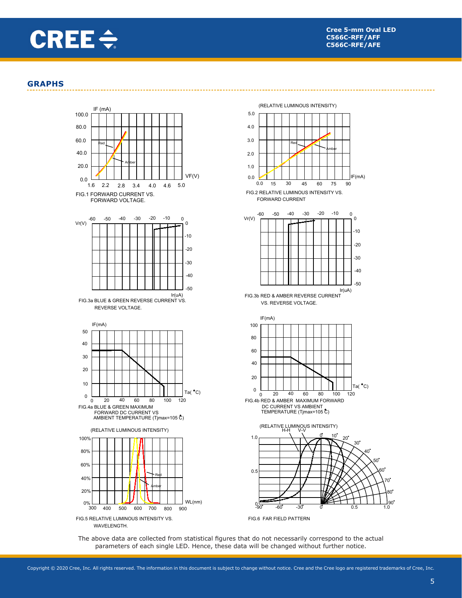

 $F(mA)$ 

-40

-30  $-20$ -10  $\Omega$ 

Ir(uA) -50

 $0.5$ 

30

Ta( $^{\circ}$ C)

### **GRAPHS**



The above data are collected from statistical figures that do not necessarily correspond to the actual parameters of each single LED. Hence, these data will be changed without further notice.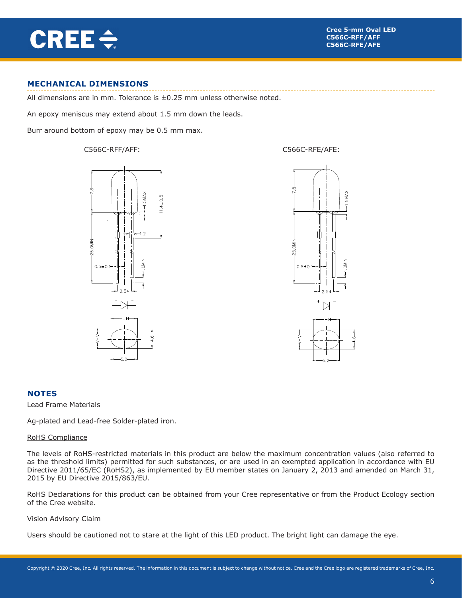

### **MECHANICAL DIMENSIONS**

All dimensions are in mm. Tolerance is  $\pm 0.25$  mm unless otherwise noted.

An epoxy meniscus may extend about 1.5 mm down the leads.

Burr around bottom of epoxy may be 0.5 mm max.







#### **NOTES**

#### Lead Frame Materials

Ag-plated and Lead-free Solder-plated iron.

#### RoHS Compliance

The levels of RoHS-restricted materials in this product are below the maximum concentration values (also referred to as the threshold limits) permitted for such substances, or are used in an exempted application in accordance with EU Directive 2011/65/EC (RoHS2), as implemented by EU member states on January 2, 2013 and amended on March 31, 2015 by EU Directive 2015/863/EU.

RoHS Declarations for this product can be obtained from your Cree representative or from the Product Ecology section of the Cree website.

#### Vision Advisory Claim

Users should be cautioned not to stare at the light of this LED product. The bright light can damage the eye.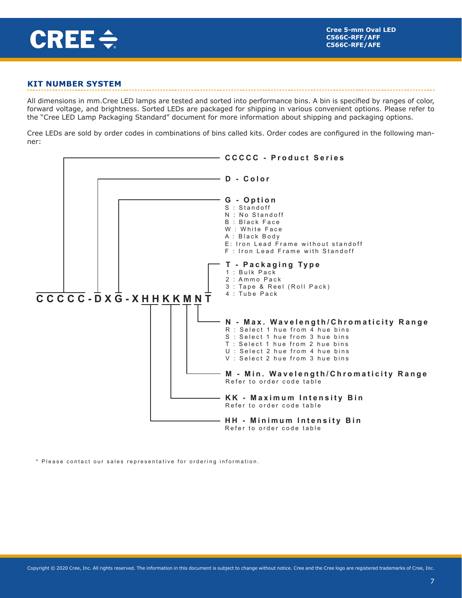

## **KIT NUMBER SYSTEM**

All dimensions in mm.Cree LED lamps are tested and sorted into performance bins. A bin is specified by ranges of color, forward voltage, and brightness. Sorted LEDs are packaged for shipping in various convenient options. Please refer to the "Cree LED Lamp Packaging Standard" document for more information about shipping and packaging options.

Cree LEDs are sold by order codes in combinations of bins called kits. Order codes are configured in the following manner:



\* Please contact our sales representative for ordering information.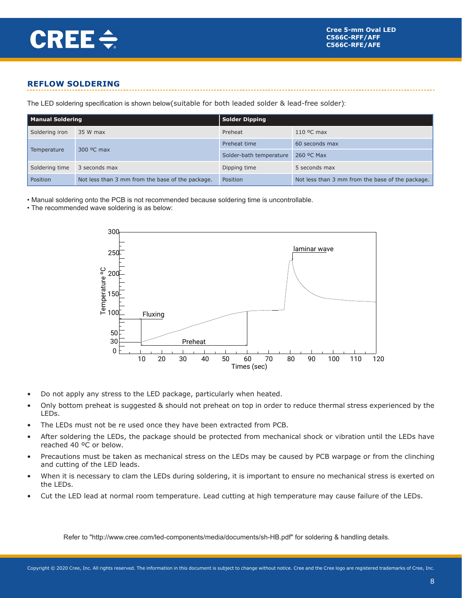

## **REFLOW SOLDERING**

The LED soldering specification is shown below(suitable for both leaded solder & lead-free solder):

| <b>Manual Soldering</b> |                                                  | Solder Dipping          |                                                  |  |  |
|-------------------------|--------------------------------------------------|-------------------------|--------------------------------------------------|--|--|
| Soldering iron          | 35 W max                                         | Preheat                 | $110$ °C max                                     |  |  |
| Temperature             |                                                  | Preheat time            | 60 seconds max                                   |  |  |
|                         | 300 °C max                                       | Solder-bath temperature | 260 °C Max                                       |  |  |
| Soldering time          | 3 seconds max                                    | Dipping time            | 5 seconds max                                    |  |  |
| Position                | Not less than 3 mm from the base of the package. | Position                | Not less than 3 mm from the base of the package. |  |  |

• Manual soldering onto the PCB is not recommended because soldering time is uncontrollable.

• The recommended wave soldering is as below:



- Do not apply any stress to the LED package, particularly when heated.
- Only bottom preheat is suggested & should not preheat on top in order to reduce thermal stress experienced by the LEDs.
- The LEDs must not be re used once they have been extracted from PCB.
- After soldering the LEDs, the package should be protected from mechanical shock or vibration until the LEDs have reached 40 ºC or below.
- Precautions must be taken as mechanical stress on the LEDs may be caused by PCB warpage or from the clinching and cutting of the LED leads.
- When it is necessary to clam the LEDs during soldering, it is important to ensure no mechanical stress is exerted on the LEDs.
- Cut the LED lead at normal room temperature. Lead cutting at high temperature may cause failure of the LEDs.

Refer to "http://www.cree.com/led-components/media/documents/sh-HB.pdf" for soldering & handling details.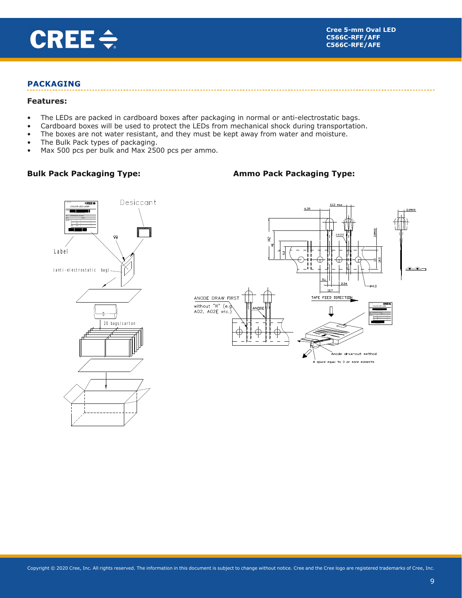

### **PACKAGING**

#### **Features:**

- The LEDs are packed in cardboard boxes after packaging in normal or anti-electrostatic bags.
- Cardboard boxes will be used to protect the LEDs from mechanical shock during transportation.
- The boxes are not water resistant, and they must be kept away from water and moisture.
- The Bulk Pack types of packaging.
- Max 500 pcs per bulk and Max 2500 pcs per ammo.

## **Bulk Pack Packaging Type:**

## **Ammo Pack Packaging Type:**